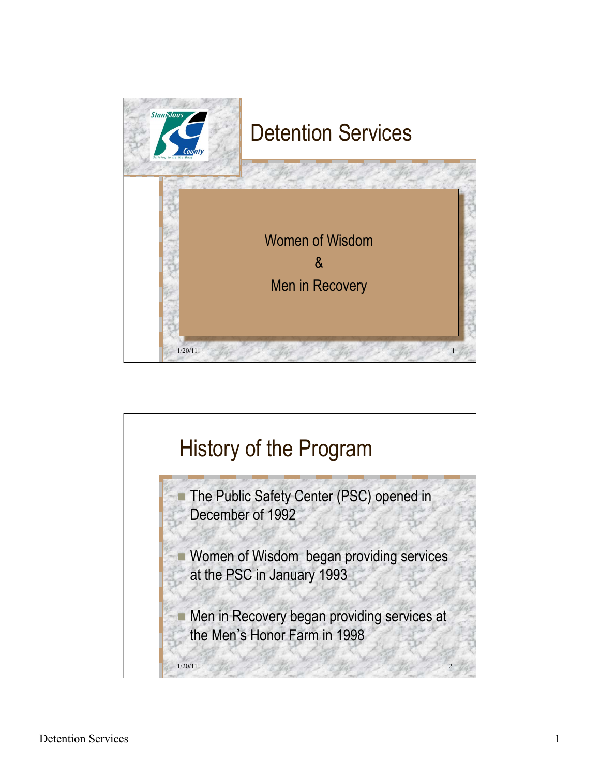

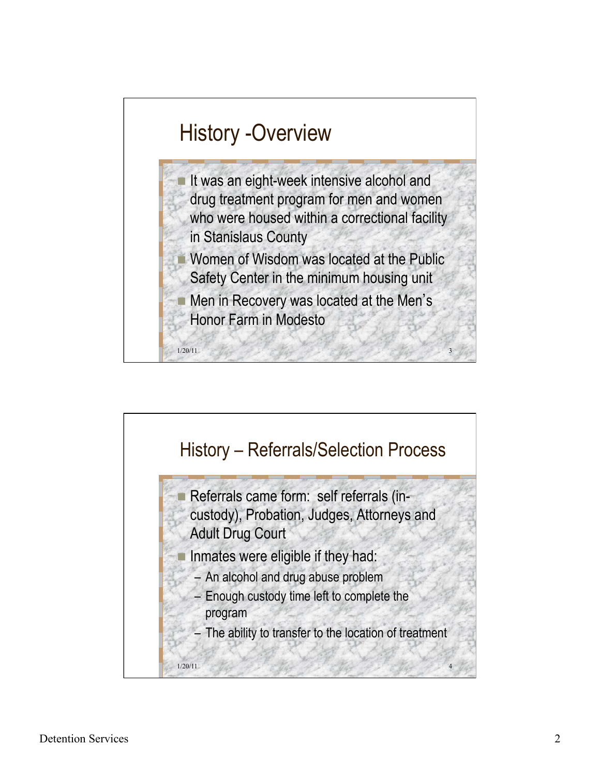

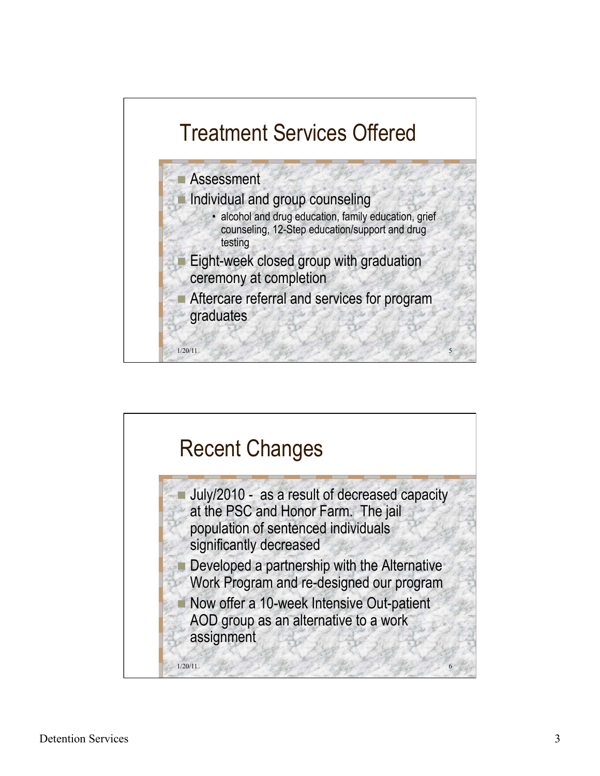

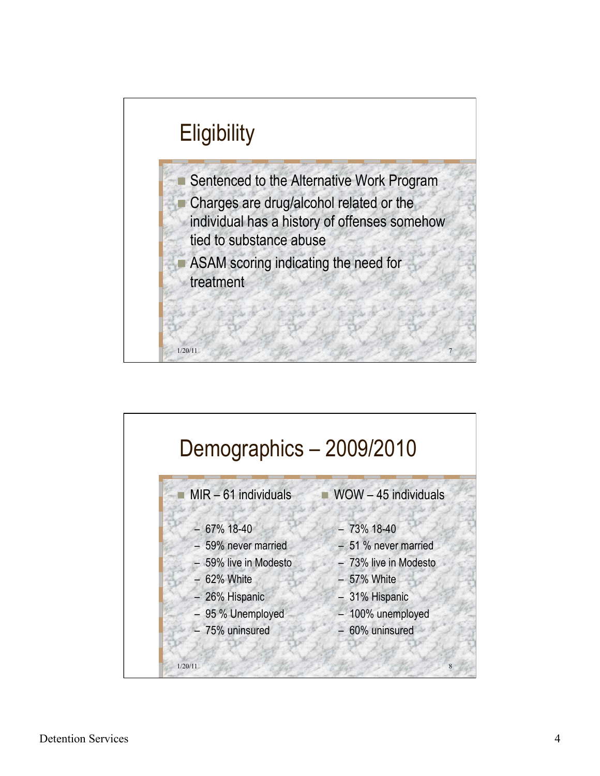

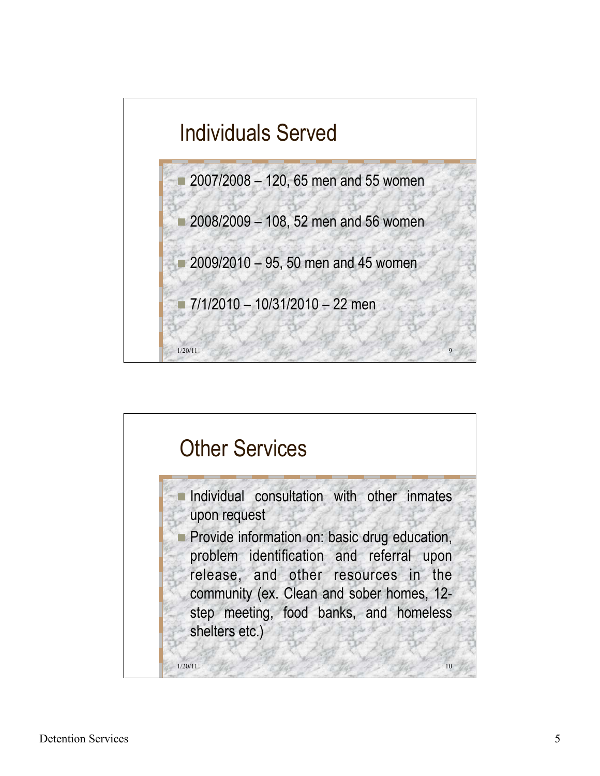

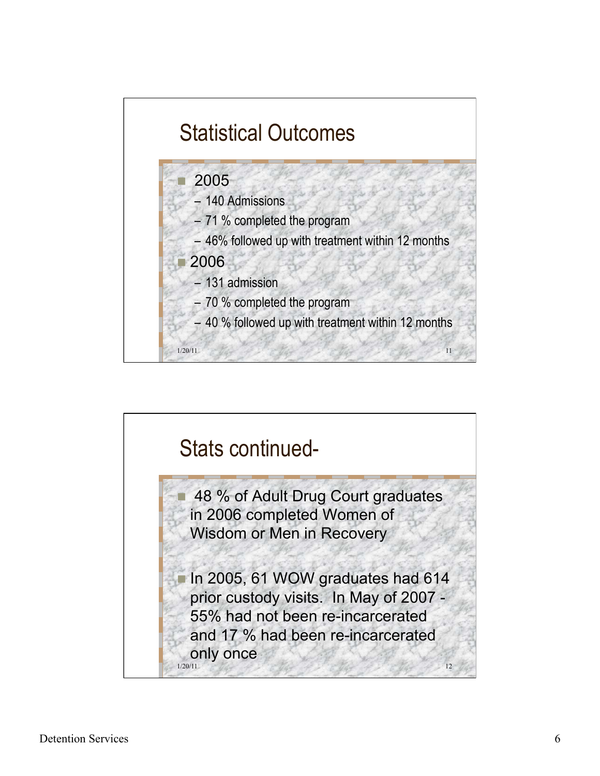